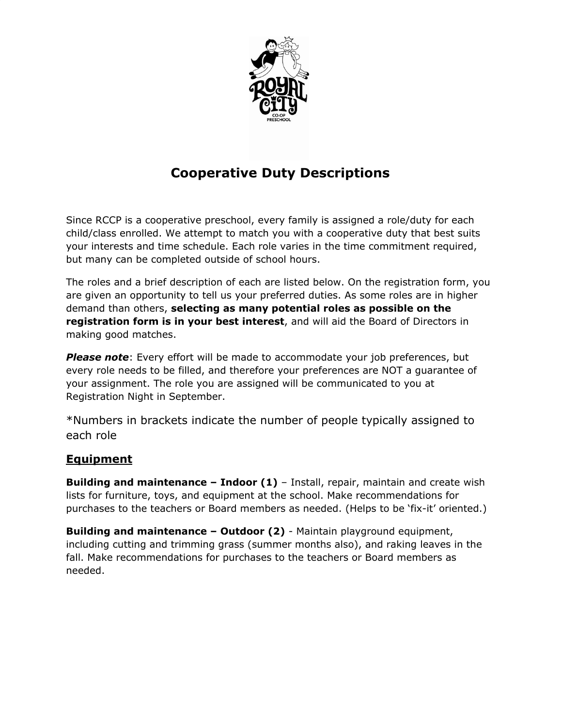

# **Cooperative Duty Descriptions**

Since RCCP is a cooperative preschool, every family is assigned a role/duty for each child/class enrolled. We attempt to match you with a cooperative duty that best suits your interests and time schedule. Each role varies in the time commitment required, but many can be completed outside of school hours.

The roles and a brief description of each are listed below. On the registration form, you are given an opportunity to tell us your preferred duties. As some roles are in higher demand than others, **selecting as many potential roles as possible on the registration form is in your best interest**, and will aid the Board of Directors in making good matches.

*Please note*: Every effort will be made to accommodate your job preferences, but every role needs to be filled, and therefore your preferences are NOT a guarantee of your assignment. The role you are assigned will be communicated to you at Registration Night in September.

\*Numbers in brackets indicate the number of people typically assigned to each role

## **Equipment**

**Building and maintenance – Indoor (1)** – Install, repair, maintain and create wish lists for furniture, toys, and equipment at the school. Make recommendations for purchases to the teachers or Board members as needed. (Helps to be 'fix-it' oriented.)

**Building and maintenance – Outdoor (2)** - Maintain playground equipment, including cutting and trimming grass (summer months also), and raking leaves in the fall. Make recommendations for purchases to the teachers or Board members as needed.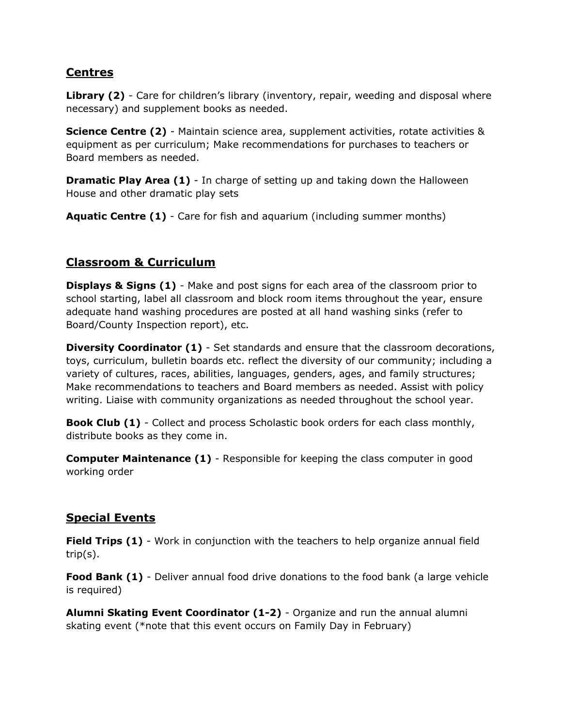#### **Centres**

Library (2) - Care for children's library (inventory, repair, weeding and disposal where necessary) and supplement books as needed.

**Science Centre (2)** - Maintain science area, supplement activities, rotate activities & equipment as per curriculum; Make recommendations for purchases to teachers or Board members as needed.

**Dramatic Play Area (1)** - In charge of setting up and taking down the Halloween House and other dramatic play sets

**Aquatic Centre (1)** - Care for fish and aquarium (including summer months)

#### **Classroom & Curriculum**

**Displays & Signs (1)** - Make and post signs for each area of the classroom prior to school starting, label all classroom and block room items throughout the year, ensure adequate hand washing procedures are posted at all hand washing sinks (refer to Board/County Inspection report), etc.

**Diversity Coordinator (1)** - Set standards and ensure that the classroom decorations, toys, curriculum, bulletin boards etc. reflect the diversity of our community; including a variety of cultures, races, abilities, languages, genders, ages, and family structures; Make recommendations to teachers and Board members as needed. Assist with policy writing. Liaise with community organizations as needed throughout the school year.

**Book Club (1)** - Collect and process Scholastic book orders for each class monthly, distribute books as they come in.

**Computer Maintenance (1)** - Responsible for keeping the class computer in good working order

## **Special Events**

**Field Trips (1)** - Work in conjunction with the teachers to help organize annual field trip(s).

**Food Bank (1)** - Deliver annual food drive donations to the food bank (a large vehicle is required)

**Alumni Skating Event Coordinator (1-2)** - Organize and run the annual alumni skating event (\*note that this event occurs on Family Day in February)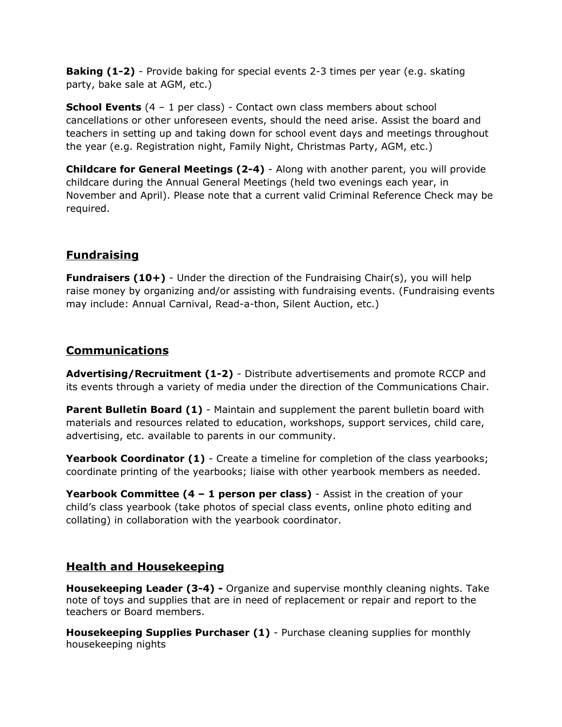**Baking (1-2)** - Provide baking for special events 2-3 times per year (e.g. skating party, bake sale at AGM, etc.)

**School Events** (4 – 1 per class) - Contact own class members about school cancellations or other unforeseen events, should the need arise. Assist the board and teachers in setting up and taking down for school event days and meetings throughout the year (e.g. Registration night, Family Night, Christmas Party, AGM, etc.)

**Childcare for General Meetings (2-4)** - Along with another parent, you will provide childcare during the Annual General Meetings (held two evenings each year, in November and April). Please note that a current valid Criminal Reference Check may be required.

#### **Fundraising**

**Fundraisers (10+)** - Under the direction of the Fundraising Chair(s), you will help raise money by organizing and/or assisting with fundraising events. (Fundraising events may include: Annual Carnival, Read-a-thon, Silent Auction, etc.)

#### **Communications**

**Advertising/Recruitment (1-2)** - Distribute advertisements and promote RCCP and its events through a variety of media under the direction of the Communications Chair.

**Parent Bulletin Board (1)** - Maintain and supplement the parent bulletin board with materials and resources related to education, workshops, support services, child care, advertising, etc. available to parents in our community.

**Yearbook Coordinator (1)** - Create a timeline for completion of the class yearbooks; coordinate printing of the yearbooks; liaise with other yearbook members as needed.

**Yearbook Committee (4 – 1 person per class)** - Assist in the creation of your child's class yearbook (take photos of special class events, online photo editing and collating) in collaboration with the yearbook coordinator.

## **Health and Housekeeping**

**Housekeeping Leader (3-4) -** Organize and supervise monthly cleaning nights. Take note of toys and supplies that are in need of replacement or repair and report to the teachers or Board members.

**Housekeeping Supplies Purchaser (1)** - Purchase cleaning supplies for monthly housekeeping nights